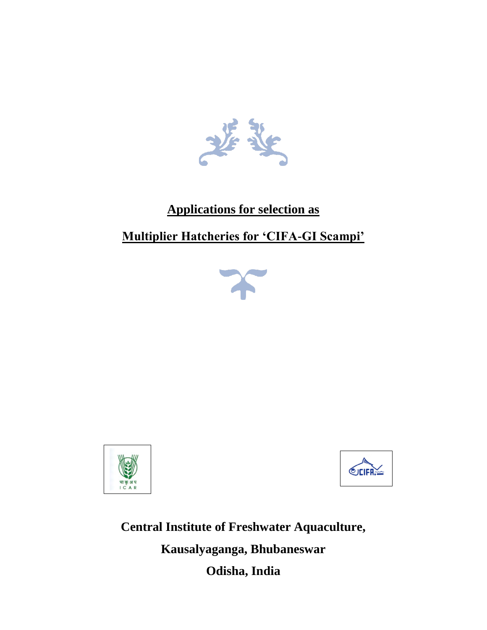

## **Applications for selection as**

## **Multiplier Hatcheries for 'CIFA-GI Scampi'**







**Central Institute of Freshwater Aquaculture, Kausalyaganga, Bhubaneswar Odisha, India**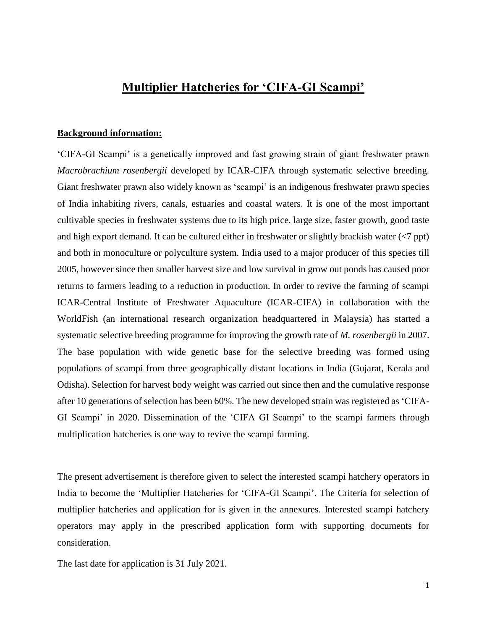## **Multiplier Hatcheries for 'CIFA-GI Scampi'**

#### **Background information:**

'CIFA-GI Scampi' is a genetically improved and fast growing strain of giant freshwater prawn *Macrobrachium rosenbergii* developed by ICAR-CIFA through systematic selective breeding. Giant freshwater prawn also widely known as 'scampi' is an indigenous freshwater prawn species of India inhabiting rivers, canals, estuaries and coastal waters. It is one of the most important cultivable species in freshwater systems due to its high price, large size, faster growth, good taste and high export demand. It can be cultured either in freshwater or slightly brackish water (<7 ppt) and both in monoculture or polyculture system. India used to a major producer of this species till 2005, however since then smaller harvest size and low survival in grow out ponds has caused poor returns to farmers leading to a reduction in production. In order to revive the farming of scampi ICAR-Central Institute of Freshwater Aquaculture (ICAR-CIFA) in collaboration with the WorldFish (an international research organization headquartered in Malaysia) has started a systematic selective breeding programme for improving the growth rate of *M. rosenbergii* in 2007. The base population with wide genetic base for the selective breeding was formed using populations of scampi from three geographically distant locations in India (Gujarat, Kerala and Odisha). Selection for harvest body weight was carried out since then and the cumulative response after 10 generations of selection has been 60%. The new developed strain was registered as 'CIFA-GI Scampi' in 2020. Dissemination of the 'CIFA GI Scampi' to the scampi farmers through multiplication hatcheries is one way to revive the scampi farming.

The present advertisement is therefore given to select the interested scampi hatchery operators in India to become the 'Multiplier Hatcheries for 'CIFA-GI Scampi'. The Criteria for selection of multiplier hatcheries and application for is given in the annexures. Interested scampi hatchery operators may apply in the prescribed application form with supporting documents for consideration.

The last date for application is 31 July 2021.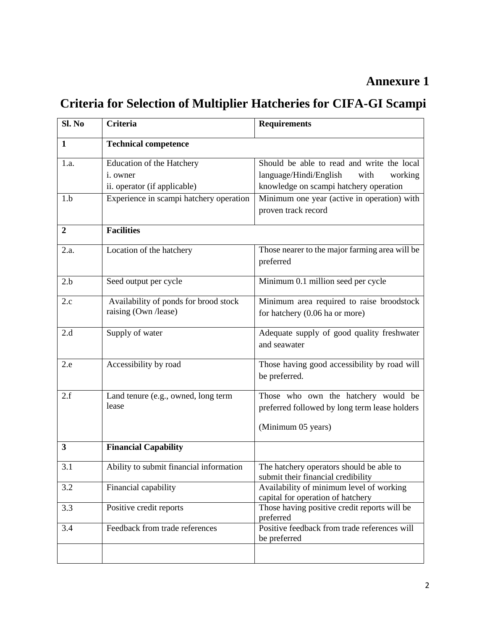## **Annexure 1**

# **Criteria for Selection of Multiplier Hatcheries for CIFA-GI Scampi**

| Sl. No           | <b>Criteria</b>                                                                                                          | <b>Requirements</b>                                                                                                                                                              |  |
|------------------|--------------------------------------------------------------------------------------------------------------------------|----------------------------------------------------------------------------------------------------------------------------------------------------------------------------------|--|
| 1                | <b>Technical competence</b>                                                                                              |                                                                                                                                                                                  |  |
| 1.a.<br>1.b      | Education of the Hatchery<br><i>i</i> . owner<br>ii. operator (if applicable)<br>Experience in scampi hatchery operation | Should be able to read and write the local<br>language/Hindi/English<br>with<br>working<br>knowledge on scampi hatchery operation<br>Minimum one year (active in operation) with |  |
|                  |                                                                                                                          | proven track record                                                                                                                                                              |  |
| $\boldsymbol{2}$ | <b>Facilities</b>                                                                                                        |                                                                                                                                                                                  |  |
| 2.a.             | Location of the hatchery                                                                                                 | Those nearer to the major farming area will be<br>preferred                                                                                                                      |  |
| 2.b              | Seed output per cycle                                                                                                    | Minimum 0.1 million seed per cycle                                                                                                                                               |  |
| 2.c              | Availability of ponds for brood stock<br>raising (Own /lease)                                                            | Minimum area required to raise broodstock<br>for hatchery (0.06 ha or more)                                                                                                      |  |
| 2.d              | Supply of water                                                                                                          | Adequate supply of good quality freshwater<br>and seawater                                                                                                                       |  |
| 2.e              | Accessibility by road                                                                                                    | Those having good accessibility by road will<br>be preferred.                                                                                                                    |  |
| 2.f              | Land tenure (e.g., owned, long term<br>lease                                                                             | Those who own the hatchery would be<br>preferred followed by long term lease holders                                                                                             |  |
|                  |                                                                                                                          | (Minimum 05 years)                                                                                                                                                               |  |
| 3                | <b>Financial Capability</b>                                                                                              |                                                                                                                                                                                  |  |
| 3.1              | Ability to submit financial information                                                                                  | The hatchery operators should be able to<br>submit their financial credibility                                                                                                   |  |
| 3.2              | Financial capability                                                                                                     | Availability of minimum level of working<br>capital for operation of hatchery                                                                                                    |  |
| 3.3              | Positive credit reports                                                                                                  | Those having positive credit reports will be<br>preferred                                                                                                                        |  |
| 3.4              | Feedback from trade references                                                                                           | Positive feedback from trade references will<br>be preferred                                                                                                                     |  |
|                  |                                                                                                                          |                                                                                                                                                                                  |  |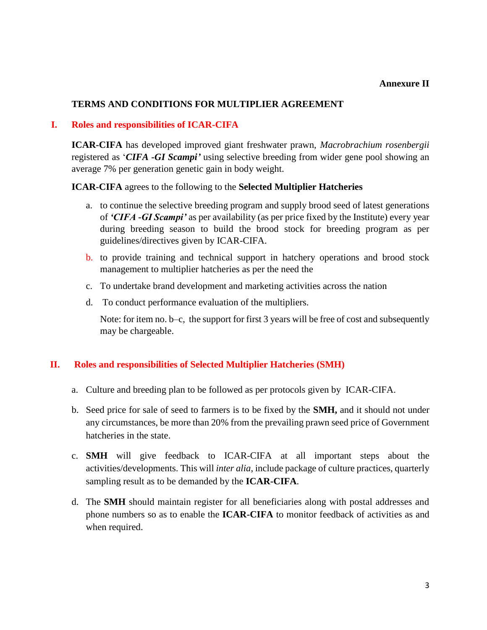#### **Annexure II**

#### **TERMS AND CONDITIONS FOR MULTIPLIER AGREEMENT**

#### **I. Roles and responsibilities of ICAR-CIFA**

**ICAR-CIFA** has developed improved giant freshwater prawn, *Macrobrachium rosenbergii* registered as '*CIFA -GI Scampi'* using selective breeding from wider gene pool showing an average 7% per generation genetic gain in body weight.

#### **ICAR-CIFA** agrees to the following to the **Selected Multiplier Hatcheries**

- a. to continue the selective breeding program and supply brood seed of latest generations of *'CIFA -GI Scampi'* as per availability (as per price fixed by the Institute) every year during breeding season to build the brood stock for breeding program as per guidelines/directives given by ICAR-CIFA.
- b. to provide training and technical support in hatchery operations and brood stock management to multiplier hatcheries as per the need the
- c. To undertake brand development and marketing activities across the nation
- d. To conduct performance evaluation of the multipliers.

Note: for item no. b–c, the support for first 3 years will be free of cost and subsequently may be chargeable.

#### **II. Roles and responsibilities of Selected Multiplier Hatcheries (SMH)**

- a. Culture and breeding plan to be followed as per protocols given by ICAR-CIFA.
- b. Seed price for sale of seed to farmers is to be fixed by the **SMH,** and it should not under any circumstances, be more than 20% from the prevailing prawn seed price of Government hatcheries in the state.
- c. **SMH** will give feedback to ICAR-CIFA at all important steps about the activities/developments. This will *inter alia*, include package of culture practices, quarterly sampling result as to be demanded by the **ICAR-CIFA**.
- d. The **SMH** should maintain register for all beneficiaries along with postal addresses and phone numbers so as to enable the **ICAR-CIFA** to monitor feedback of activities as and when required.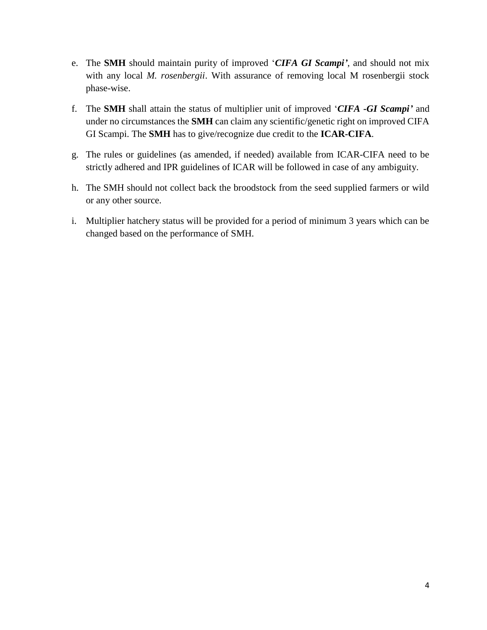- e. The **SMH** should maintain purity of improved '*CIFA GI Scampi'*, and should not mix with any local *M. rosenbergii*. With assurance of removing local M rosenbergii stock phase-wise.
- f. The **SMH** shall attain the status of multiplier unit of improved '*CIFA -GI Scampi'* and under no circumstances the **SMH** can claim any scientific/genetic right on improved CIFA GI Scampi. The **SMH** has to give/recognize due credit to the **ICAR-CIFA**.
- g. The rules or guidelines (as amended, if needed) available from ICAR-CIFA need to be strictly adhered and IPR guidelines of ICAR will be followed in case of any ambiguity.
- h. The SMH should not collect back the broodstock from the seed supplied farmers or wild or any other source.
- i. Multiplier hatchery status will be provided for a period of minimum 3 years which can be changed based on the performance of SMH.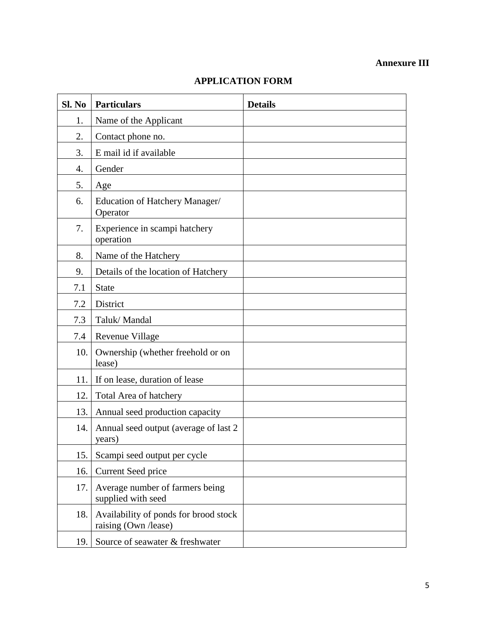## **Annexure III**

| Sl. No | <b>Particulars</b>                                            | <b>Details</b> |
|--------|---------------------------------------------------------------|----------------|
| 1.     | Name of the Applicant                                         |                |
| 2.     | Contact phone no.                                             |                |
| 3.     | E mail id if available                                        |                |
| 4.     | Gender                                                        |                |
| 5.     | Age                                                           |                |
| 6.     | Education of Hatchery Manager/<br>Operator                    |                |
| 7.     | Experience in scampi hatchery<br>operation                    |                |
| 8.     | Name of the Hatchery                                          |                |
| 9.     | Details of the location of Hatchery                           |                |
| 7.1    | <b>State</b>                                                  |                |
| 7.2    | District                                                      |                |
| 7.3    | Taluk/Mandal                                                  |                |
| 7.4    | Revenue Village                                               |                |
| 10.    | Ownership (whether freehold or on<br>lease)                   |                |
| 11.    | If on lease, duration of lease                                |                |
| 12.    | Total Area of hatchery                                        |                |
| 13.    | Annual seed production capacity                               |                |
| 14.    | Annual seed output (average of last 2)<br>years)              |                |
| 15.    | Scampi seed output per cycle                                  |                |
| 16.    | Current Seed price                                            |                |
| 17.    | Average number of farmers being<br>supplied with seed         |                |
| 18.    | Availability of ponds for brood stock<br>raising (Own /lease) |                |
| 19.    | Source of seawater & freshwater                               |                |

### **APPLICATION FORM**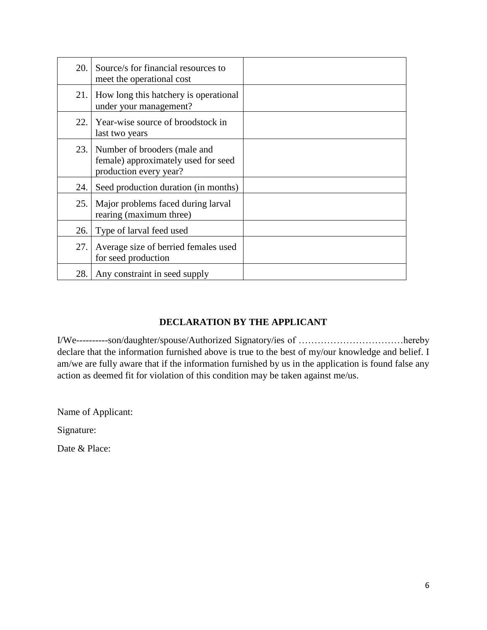| 20. | Source/s for financial resources to<br>meet the operational cost                              |  |
|-----|-----------------------------------------------------------------------------------------------|--|
| 21. | How long this hatchery is operational<br>under your management?                               |  |
| 22. | Year-wise source of broodstock in<br>last two years                                           |  |
| 23. | Number of brooders (male and<br>female) approximately used for seed<br>production every year? |  |
| 24. | Seed production duration (in months)                                                          |  |
| 25. | Major problems faced during larval<br>rearing (maximum three)                                 |  |
| 26. | Type of larval feed used                                                                      |  |
| 27. | Average size of berried females used<br>for seed production                                   |  |
| 28. | Any constraint in seed supply                                                                 |  |

### **DECLARATION BY THE APPLICANT**

I/We----------son/daughter/spouse/Authorized Signatory/ies of ……………………………hereby declare that the information furnished above is true to the best of my/our knowledge and belief. I am/we are fully aware that if the information furnished by us in the application is found false any action as deemed fit for violation of this condition may be taken against me/us.

Name of Applicant:

Signature:

Date & Place: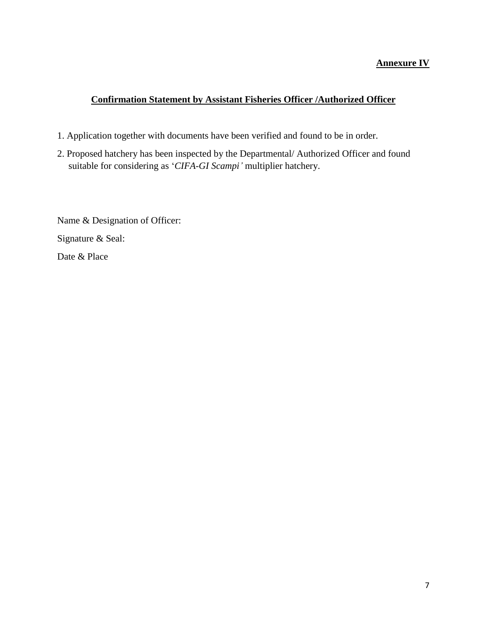#### **Annexure IV**

#### **Confirmation Statement by Assistant Fisheries Officer /Authorized Officer**

- 1. Application together with documents have been verified and found to be in order.
- 2. Proposed hatchery has been inspected by the Departmental/ Authorized Officer and found suitable for considering as '*CIFA-GI Scampi'* multiplier hatchery.

Name & Designation of Officer: Signature & Seal: Date & Place